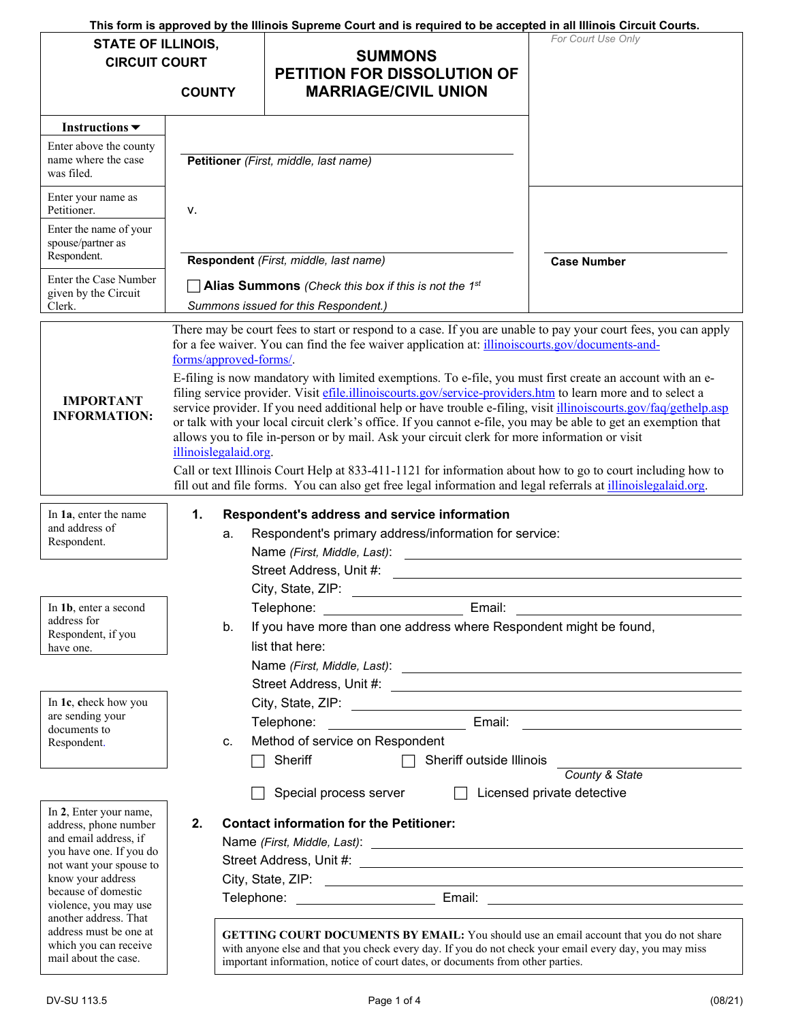|                                                  |                                                                                                                                                                                         | This form is approved by the Illinois Supreme Court and is required to be accepted in all Illinois Circuit Courts.                                                                                                          |                            |
|--------------------------------------------------|-----------------------------------------------------------------------------------------------------------------------------------------------------------------------------------------|-----------------------------------------------------------------------------------------------------------------------------------------------------------------------------------------------------------------------------|----------------------------|
| <b>STATE OF ILLINOIS,</b>                        |                                                                                                                                                                                         |                                                                                                                                                                                                                             | For Court Use Only         |
| <b>CIRCUIT COURT</b>                             |                                                                                                                                                                                         | <b>SUMMONS</b>                                                                                                                                                                                                              |                            |
|                                                  |                                                                                                                                                                                         | PETITION FOR DISSOLUTION OF                                                                                                                                                                                                 |                            |
|                                                  | <b>COUNTY</b>                                                                                                                                                                           | <b>MARRIAGE/CIVIL UNION</b>                                                                                                                                                                                                 |                            |
|                                                  |                                                                                                                                                                                         |                                                                                                                                                                                                                             |                            |
| Instructions $\blacktriangledown$                |                                                                                                                                                                                         |                                                                                                                                                                                                                             |                            |
| Enter above the county                           |                                                                                                                                                                                         |                                                                                                                                                                                                                             |                            |
| name where the case<br>was filed.                |                                                                                                                                                                                         | Petitioner (First, middle, last name)                                                                                                                                                                                       |                            |
|                                                  |                                                                                                                                                                                         |                                                                                                                                                                                                                             |                            |
| Enter your name as<br>Petitioner.                |                                                                                                                                                                                         |                                                                                                                                                                                                                             |                            |
| Enter the name of your                           |                                                                                                                                                                                         | ν.                                                                                                                                                                                                                          |                            |
| spouse/partner as                                |                                                                                                                                                                                         |                                                                                                                                                                                                                             |                            |
| Respondent.                                      |                                                                                                                                                                                         | Respondent (First, middle, last name)                                                                                                                                                                                       | <b>Case Number</b>         |
| Enter the Case Number                            |                                                                                                                                                                                         | <b>Alias Summons</b> (Check this box if this is not the 1 <sup>st</sup>                                                                                                                                                     |                            |
| given by the Circuit                             |                                                                                                                                                                                         |                                                                                                                                                                                                                             |                            |
| Clerk.                                           |                                                                                                                                                                                         | Summons issued for this Respondent.)                                                                                                                                                                                        |                            |
|                                                  |                                                                                                                                                                                         | There may be court fees to start or respond to a case. If you are unable to pay your court fees, you can apply                                                                                                              |                            |
|                                                  |                                                                                                                                                                                         | for a fee waiver. You can find the fee waiver application at: illinoiscourts.gov/documents-and-                                                                                                                             |                            |
|                                                  | forms/approved-forms/.                                                                                                                                                                  |                                                                                                                                                                                                                             |                            |
|                                                  |                                                                                                                                                                                         | E-filing is now mandatory with limited exemptions. To e-file, you must first create an account with an e-<br>filing service provider. Visit effile.illinoiscourts.gov/service-providers.htm to learn more and to select a   |                            |
| <b>IMPORTANT</b>                                 |                                                                                                                                                                                         | service provider. If you need additional help or have trouble e-filing, visit illinoiscourts.gov/faq/gethelp.asp                                                                                                            |                            |
| <b>INFORMATION:</b>                              |                                                                                                                                                                                         | or talk with your local circuit clerk's office. If you cannot e-file, you may be able to get an exemption that                                                                                                              |                            |
|                                                  |                                                                                                                                                                                         | allows you to file in-person or by mail. Ask your circuit clerk for more information or visit                                                                                                                               |                            |
|                                                  | illinoislegalaid.org.                                                                                                                                                                   |                                                                                                                                                                                                                             |                            |
|                                                  |                                                                                                                                                                                         | Call or text Illinois Court Help at 833-411-1121 for information about how to go to court including how to<br>fill out and file forms. You can also get free legal information and legal referrals at illinoislegalaid.org. |                            |
|                                                  |                                                                                                                                                                                         |                                                                                                                                                                                                                             |                            |
| In 1a, enter the name                            | 1.                                                                                                                                                                                      | Respondent's address and service information                                                                                                                                                                                |                            |
| and address of<br>Respondent.                    | a.                                                                                                                                                                                      | Respondent's primary address/information for service:                                                                                                                                                                       |                            |
|                                                  |                                                                                                                                                                                         | Name (First, Middle, Last):                                                                                                                                                                                                 |                            |
|                                                  |                                                                                                                                                                                         | Street Address, Unit #:                                                                                                                                                                                                     |                            |
|                                                  |                                                                                                                                                                                         | City, State, ZIP:                                                                                                                                                                                                           |                            |
| In 1b, enter a second                            |                                                                                                                                                                                         |                                                                                                                                                                                                                             |                            |
| address for                                      | b.                                                                                                                                                                                      | If you have more than one address where Respondent might be found,                                                                                                                                                          |                            |
| Respondent, if you<br>have one.                  |                                                                                                                                                                                         | list that here:                                                                                                                                                                                                             |                            |
|                                                  |                                                                                                                                                                                         |                                                                                                                                                                                                                             |                            |
|                                                  |                                                                                                                                                                                         |                                                                                                                                                                                                                             |                            |
| In 1c, check how you                             |                                                                                                                                                                                         |                                                                                                                                                                                                                             |                            |
| are sending your                                 |                                                                                                                                                                                         | Telephone:                                                                                                                                                                                                                  |                            |
| documents to<br>Respondent.                      | c.                                                                                                                                                                                      | Method of service on Respondent                                                                                                                                                                                             |                            |
|                                                  |                                                                                                                                                                                         | Sheriff<br>Sheriff outside Illinois<br>$\Box$                                                                                                                                                                               |                            |
|                                                  |                                                                                                                                                                                         |                                                                                                                                                                                                                             | County & State             |
|                                                  |                                                                                                                                                                                         | Special process server                                                                                                                                                                                                      | Licensed private detective |
| In 2, Enter your name,                           |                                                                                                                                                                                         |                                                                                                                                                                                                                             |                            |
| address, phone number                            | 2.                                                                                                                                                                                      | <b>Contact information for the Petitioner:</b>                                                                                                                                                                              |                            |
| and email address, if<br>you have one. If you do |                                                                                                                                                                                         |                                                                                                                                                                                                                             |                            |
| not want your spouse to                          |                                                                                                                                                                                         |                                                                                                                                                                                                                             |                            |
| know your address                                |                                                                                                                                                                                         |                                                                                                                                                                                                                             |                            |
| because of domestic<br>violence, you may use     |                                                                                                                                                                                         |                                                                                                                                                                                                                             |                            |
| another address. That                            |                                                                                                                                                                                         |                                                                                                                                                                                                                             |                            |
| address must be one at<br>which you can receive  |                                                                                                                                                                                         | <b>GETTING COURT DOCUMENTS BY EMAIL:</b> You should use an email account that you do not share                                                                                                                              |                            |
| mail about the case.                             | with anyone else and that you check every day. If you do not check your email every day, you may miss<br>important information, notice of court dates, or documents from other parties. |                                                                                                                                                                                                                             |                            |
|                                                  |                                                                                                                                                                                         |                                                                                                                                                                                                                             |                            |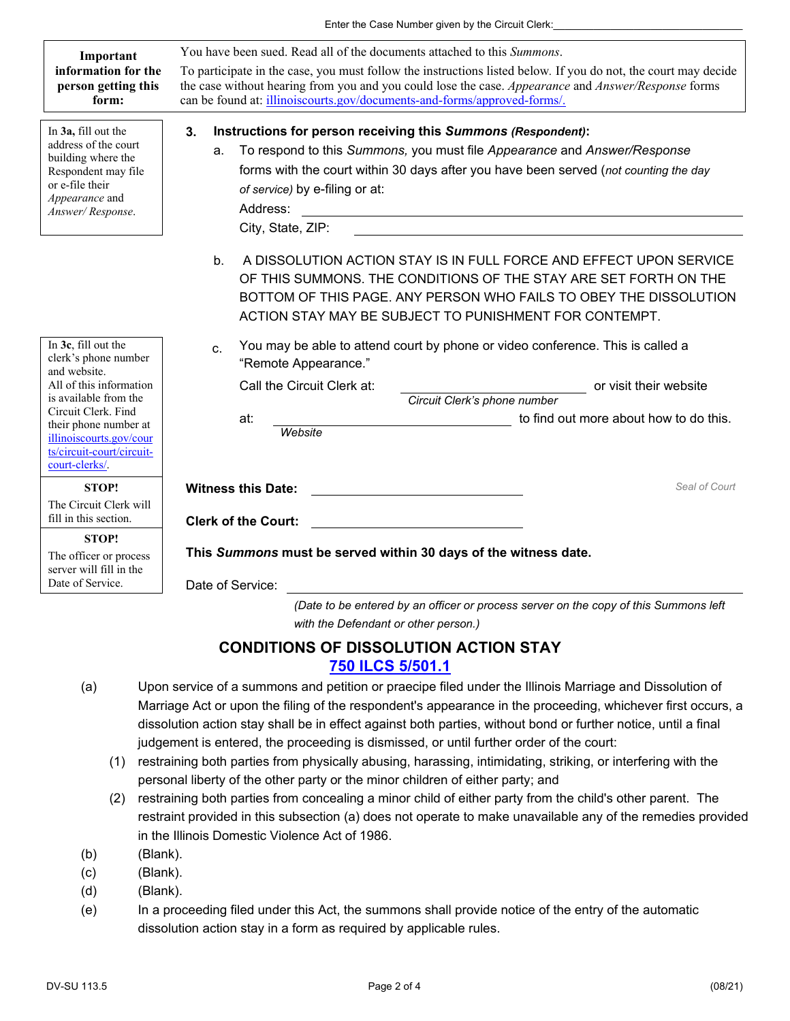| Important<br>information for the<br>person getting this<br>form:                                                                                  | You have been sued. Read all of the documents attached to this Summons.<br>To participate in the case, you must follow the instructions listed below. If you do not, the court may decide<br>the case without hearing from you and you could lose the case. Appearance and Answer/Response forms<br>can be found at: illinoiscourts.gov/documents-and-forms/approved-forms/. |                                        |  |
|---------------------------------------------------------------------------------------------------------------------------------------------------|------------------------------------------------------------------------------------------------------------------------------------------------------------------------------------------------------------------------------------------------------------------------------------------------------------------------------------------------------------------------------|----------------------------------------|--|
| In 3a, fill out the<br>address of the court<br>building where the<br>Respondent may file<br>or e-file their<br>Appearance and<br>Answer/Response. | Instructions for person receiving this Summons (Respondent):<br>3.<br>To respond to this Summons, you must file Appearance and Answer/Response<br>a.<br>forms with the court within 30 days after you have been served (not counting the day<br>of service) by e-filing or at:<br>City, State, ZIP:                                                                          |                                        |  |
|                                                                                                                                                   | b.<br>A DISSOLUTION ACTION STAY IS IN FULL FORCE AND EFFECT UPON SERVICE<br>OF THIS SUMMONS. THE CONDITIONS OF THE STAY ARE SET FORTH ON THE<br>BOTTOM OF THIS PAGE. ANY PERSON WHO FAILS TO OBEY THE DISSOLUTION<br>ACTION STAY MAY BE SUBJECT TO PUNISHMENT FOR CONTEMPT.                                                                                                  |                                        |  |
| In 3c, fill out the<br>clerk's phone number<br>and website.<br>All of this information<br>is available from the                                   | You may be able to attend court by phone or video conference. This is called a<br>C <sub>1</sub><br>"Remote Appearance."<br>Call the Circuit Clerk at:<br>Circuit Clerk's phone number                                                                                                                                                                                       | or visit their website                 |  |
| Circuit Clerk. Find<br>their phone number at<br>illinoiscourts.gov/cour<br>ts/circuit-court/circuit-<br>court-clerks/.                            | at:<br>Website                                                                                                                                                                                                                                                                                                                                                               | to find out more about how to do this. |  |
| <b>STOP!</b><br>The Circuit Clerk will<br>fill in this section.                                                                                   | <b>Witness this Date:</b><br><b>Clerk of the Court:</b>                                                                                                                                                                                                                                                                                                                      | Seal of Court                          |  |
| STOP!<br>The officer or process<br>server will fill in the<br>Date of Service.                                                                    | This Summons must be served within 30 days of the witness date.<br>Date of Service:                                                                                                                                                                                                                                                                                          |                                        |  |
|                                                                                                                                                   | (Date to be entered by an officer or process server on the copy of this Summons left                                                                                                                                                                                                                                                                                         |                                        |  |

*with the Defendant or other person.)* 

## **CONDITIONS OF DISSOLUTION ACTION STAY 750 ILCS 5/501.1**

- (a) Upon service of a summons and petition or praecipe filed under the Illinois Marriage and Dissolution of Marriage Act or upon the filing of the respondent's appearance in the proceeding, whichever first occurs, a dissolution action stay shall be in effect against both parties, without bond or further notice, until a final judgement is entered, the proceeding is dismissed, or until further order of the court:
	- (1) restraining both parties from physically abusing, harassing, intimidating, striking, or interfering with the personal liberty of the other party or the minor children of either party; and
	- (2) restraining both parties from concealing a minor child of either party from the child's other parent. The restraint provided in this subsection (a) does not operate to make unavailable any of the remedies provided in the Illinois Domestic Violence Act of 1986.
- (b) (Blank).
- (c) (Blank).
- (d) (Blank).
- (e) In a proceeding filed under this Act, the summons shall provide notice of the entry of the automatic dissolution action stay in a form as required by applicable rules.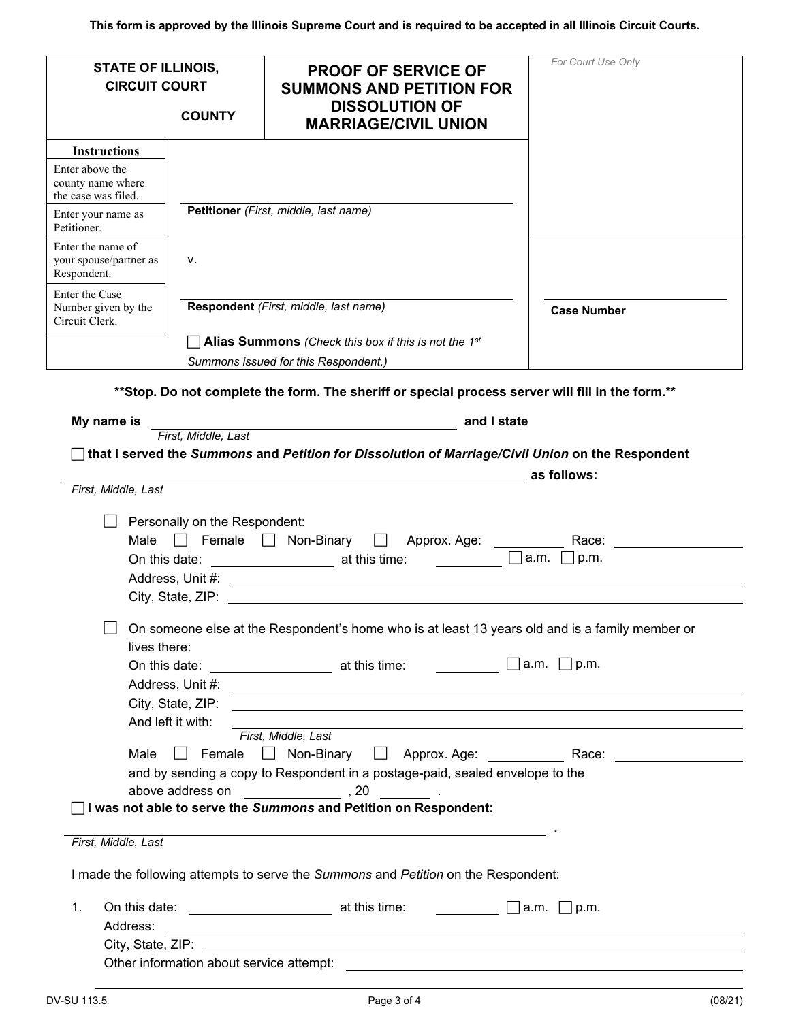**This form is approved by the Illinois Supreme Court and is required to be accepted in all Illinois Circuit Courts.** 

|                                                             | <b>STATE OF ILLINOIS,</b><br><b>CIRCUIT COURT</b><br><b>COUNTY</b>                                             | <b>PROOF OF SERVICE OF</b><br><b>SUMMONS AND PETITION FOR</b><br><b>DISSOLUTION OF</b><br><b>MARRIAGE/CIVIL UNION</b>                                                                                                           | For Court Use Only                            |
|-------------------------------------------------------------|----------------------------------------------------------------------------------------------------------------|---------------------------------------------------------------------------------------------------------------------------------------------------------------------------------------------------------------------------------|-----------------------------------------------|
| <b>Instructions</b>                                         |                                                                                                                |                                                                                                                                                                                                                                 |                                               |
| Enter above the<br>county name where<br>the case was filed. |                                                                                                                |                                                                                                                                                                                                                                 |                                               |
| Enter your name as<br>Petitioner.                           |                                                                                                                | Petitioner (First, middle, last name)                                                                                                                                                                                           |                                               |
| Enter the name of<br>your spouse/partner as<br>Respondent.  | v.                                                                                                             |                                                                                                                                                                                                                                 |                                               |
| Enter the Case<br>Number given by the<br>Circuit Clerk.     |                                                                                                                | Respondent (First, middle, last name)                                                                                                                                                                                           | <b>Case Number</b>                            |
|                                                             |                                                                                                                | Alias Summons (Check this box if this is not the 1st<br>Summons issued for this Respondent.)                                                                                                                                    |                                               |
|                                                             |                                                                                                                | ** Stop. Do not complete the form. The sheriff or special process server will fill in the form.**                                                                                                                               |                                               |
| My name is                                                  |                                                                                                                |                                                                                                                                                                                                                                 |                                               |
|                                                             | First, Middle, Last                                                                                            |                                                                                                                                                                                                                                 |                                               |
|                                                             |                                                                                                                | that I served the Summons and Petition for Dissolution of Marriage/Civil Union on the Respondent                                                                                                                                |                                               |
| First, Middle, Last                                         |                                                                                                                |                                                                                                                                                                                                                                 | as follows:                                   |
|                                                             |                                                                                                                |                                                                                                                                                                                                                                 |                                               |
|                                                             | Personally on the Respondent:                                                                                  | Male Female Non-Binary Approx. Age: Non-Binary Approx. Age:                                                                                                                                                                     |                                               |
|                                                             |                                                                                                                |                                                                                                                                                                                                                                 | Race: ____________<br>$\Box$ a.m. $\Box$ p.m. |
|                                                             |                                                                                                                | Address, Unit #: Address and Address and Address and Address and Address and Address and Address and Address and Address and Address and Address and Address and Address and Address and Address and Address and Address and A  |                                               |
|                                                             |                                                                                                                | City, State, ZIP: City, State, ZIP:                                                                                                                                                                                             |                                               |
|                                                             |                                                                                                                |                                                                                                                                                                                                                                 |                                               |
|                                                             | lives there:                                                                                                   | On someone else at the Respondent's home who is at least 13 years old and is a family member or                                                                                                                                 |                                               |
|                                                             |                                                                                                                |                                                                                                                                                                                                                                 | a.m.     p.m.                                 |
|                                                             |                                                                                                                |                                                                                                                                                                                                                                 |                                               |
|                                                             | City, State, ZIP:                                                                                              | <u> 1989 - Johann Stoff, amerikansk politiker (* 1908)</u>                                                                                                                                                                      |                                               |
|                                                             | And left it with:                                                                                              |                                                                                                                                                                                                                                 |                                               |
|                                                             |                                                                                                                | First, Middle, Last                                                                                                                                                                                                             |                                               |
|                                                             |                                                                                                                | Male $\Box$ Female $\Box$ Non-Binary $\Box$                                                                                                                                                                                     | Approx. Age: Bace: Race:                      |
|                                                             |                                                                                                                | and by sending a copy to Respondent in a postage-paid, sealed envelope to the                                                                                                                                                   |                                               |
|                                                             | above address on the set of the set of the set of the set of the set of the set of the set of the set of the s | <b>Contract Contract</b><br>I was not able to serve the Summons and Petition on Respondent:                                                                                                                                     |                                               |
|                                                             |                                                                                                                |                                                                                                                                                                                                                                 |                                               |
| First, Middle, Last                                         |                                                                                                                |                                                                                                                                                                                                                                 |                                               |
|                                                             |                                                                                                                | I made the following attempts to serve the Summons and Petition on the Respondent:                                                                                                                                              |                                               |
| 1.                                                          |                                                                                                                | $\frac{1}{2}$ , and $\frac{1}{2}$ , and $\frac{1}{2}$                                                                                                                                                                           | $\Box$ a.m. $\Box$ p.m.                       |
| Address:                                                    |                                                                                                                | <u> 1990 - Johann Stoff, amerikansk politiker (d. 1980)</u>                                                                                                                                                                     |                                               |
|                                                             |                                                                                                                | Other information about service attempt:<br>and the contract of the contract of the contract of the contract of the contract of the contract of the contract of the contract of the contract of the contract of the contract of |                                               |
|                                                             |                                                                                                                |                                                                                                                                                                                                                                 |                                               |